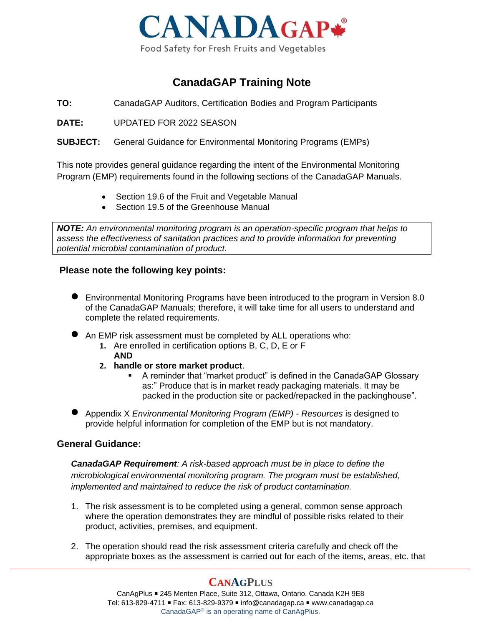

## **CanadaGAP Training Note**

**TO:** CanadaGAP Auditors, Certification Bodies and Program Participants

**DATE:** UPDATED FOR 2022 SEASON

**SUBJECT:** General Guidance for Environmental Monitoring Programs (EMPs)

This note provides general guidance regarding the intent of the Environmental Monitoring Program (EMP) requirements found in the following sections of the CanadaGAP Manuals.

- Section 19.6 of the Fruit and Vegetable Manual
- Section 19.5 of the Greenhouse Manual

*NOTE: An environmental monitoring program is an operation-specific program that helps to assess the effectiveness of sanitation practices and to provide information for preventing potential microbial contamination of product.*

### **Please note the following key points:**

- Environmental Monitoring Programs have been introduced to the program in Version 8.0 of the CanadaGAP Manuals; therefore, it will take time for all users to understand and complete the related requirements.
- An EMP risk assessment must be completed by ALL operations who:
	- **1.** Are enrolled in certification options B, C, D, E or F **AND**
	- **2. handle or store market product**.
		- A reminder that "market product" is defined in the CanadaGAP Glossary as:" Produce that is in market ready packaging materials. It may be packed in the production site or packed/repacked in the packinghouse".
- Appendix X *Environmental Monitoring Program (EMP) - Resources* is designed to provide helpful information for completion of the EMP but is not mandatory.

### **General Guidance:**

*CanadaGAP Requirement: A risk-based approach must be in place to define the microbiological environmental monitoring program. The program must be established, implemented and maintained to reduce the risk of product contamination.*

- 1. The risk assessment is to be completed using a general, common sense approach where the operation demonstrates they are mindful of possible risks related to their product, activities, premises, and equipment.
- 2. The operation should read the risk assessment criteria carefully and check off the appropriate boxes as the assessment is carried out for each of the items, areas, etc. that